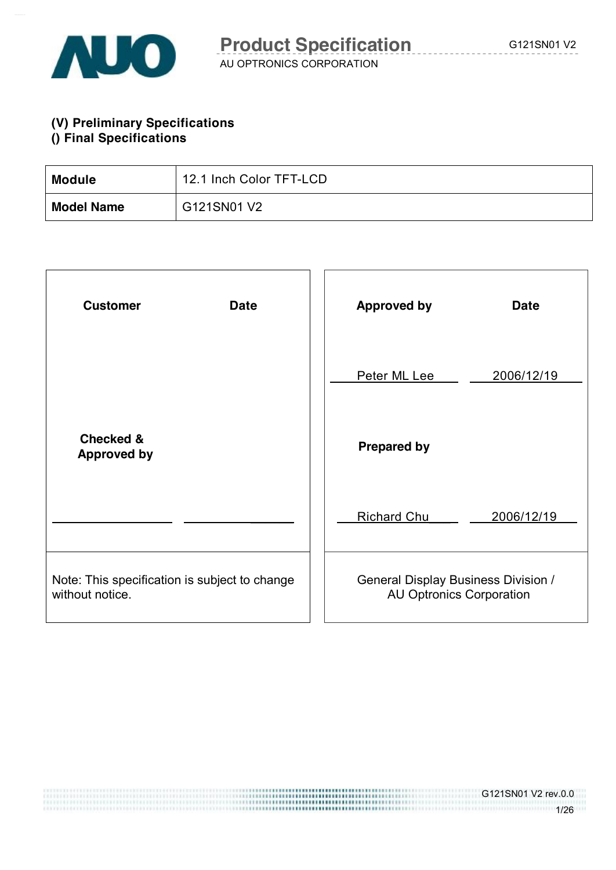

**(V) Preliminary Specifications () Final Specifications** 

| <b>Module</b>     | 12.1 Inch Color TFT-LCD |
|-------------------|-------------------------|
| <b>Model Name</b> | G121SN01 V2             |

| <b>Customer</b><br><b>Date</b>                                   | <b>Approved by</b><br><b>Date</b>                                             |
|------------------------------------------------------------------|-------------------------------------------------------------------------------|
|                                                                  | Peter ML Lee<br>2006/12/19                                                    |
| <b>Checked &amp;</b><br><b>Approved by</b>                       | <b>Prepared by</b>                                                            |
|                                                                  | <b>Richard Chu</b><br>2006/12/19                                              |
| Note: This specification is subject to change<br>without notice. | <b>General Display Business Division /</b><br><b>AU Optronics Corporation</b> |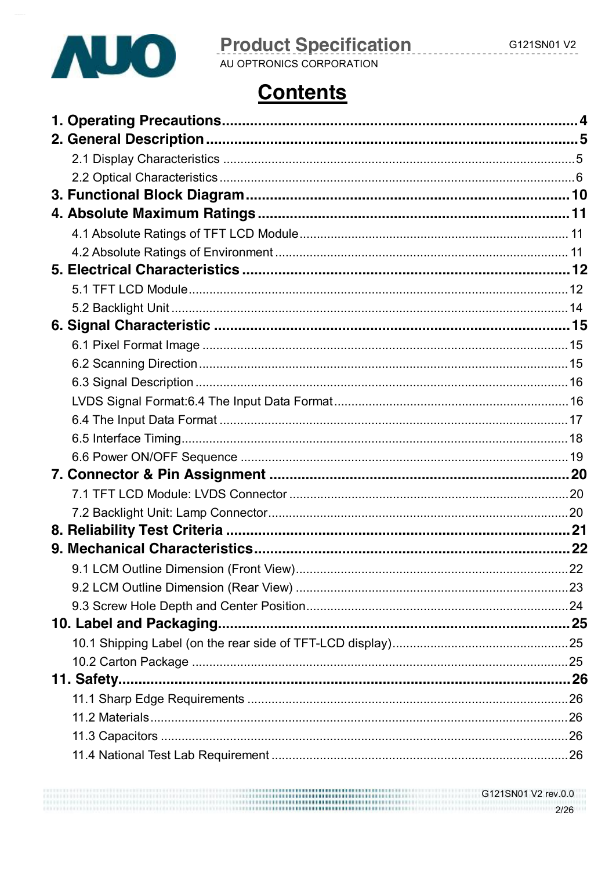

# **Product Specification**

AU OPTRONICS CORPORATION

# **Contents**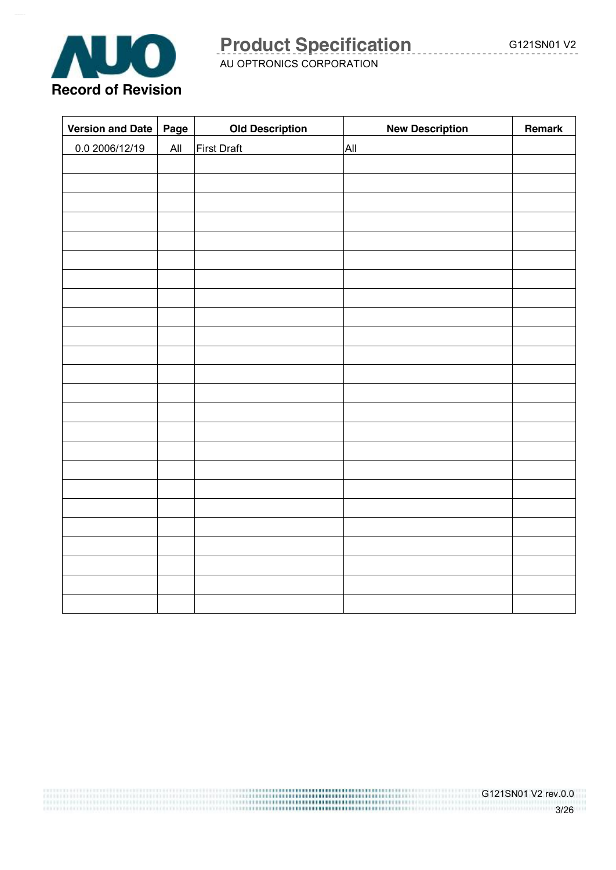

AU OPTRONICS CORPORATION

| <b>Version and Date</b> | Page           | <b>Old Description</b> | <b>New Description</b> | Remark |
|-------------------------|----------------|------------------------|------------------------|--------|
| 0.0 2006/12/19          | $\mathsf{All}$ | First Draft            | All                    |        |
|                         |                |                        |                        |        |
|                         |                |                        |                        |        |
|                         |                |                        |                        |        |
|                         |                |                        |                        |        |
|                         |                |                        |                        |        |
|                         |                |                        |                        |        |
|                         |                |                        |                        |        |
|                         |                |                        |                        |        |
|                         |                |                        |                        |        |
|                         |                |                        |                        |        |
|                         |                |                        |                        |        |
|                         |                |                        |                        |        |
|                         |                |                        |                        |        |
|                         |                |                        |                        |        |
|                         |                |                        |                        |        |
|                         |                |                        |                        |        |
|                         |                |                        |                        |        |
|                         |                |                        |                        |        |
|                         |                |                        |                        |        |
|                         |                |                        |                        |        |
|                         |                |                        |                        |        |
|                         |                |                        |                        |        |
|                         |                |                        |                        |        |
|                         |                |                        |                        |        |

G121SN01 V2 rev.0.0 3/26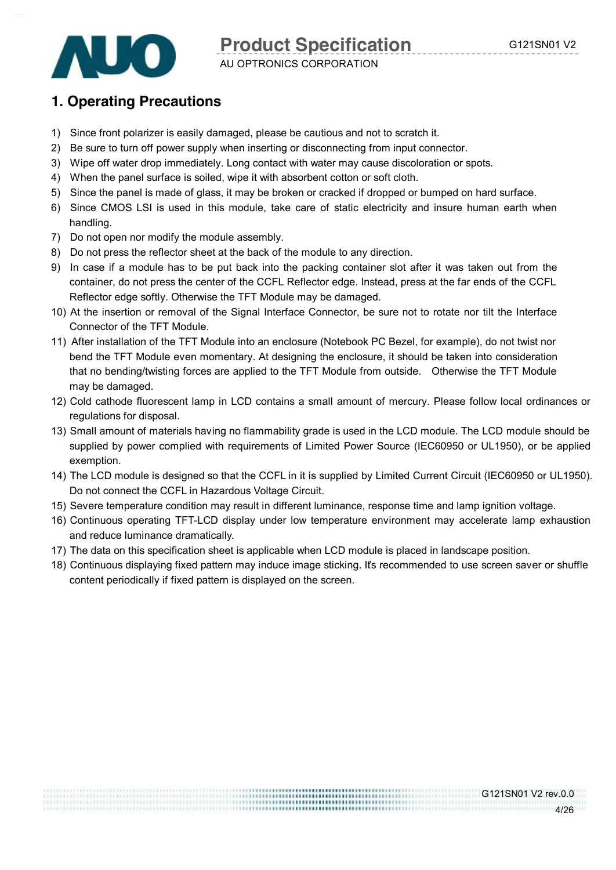G121SN01 V2 rev.0.0

4/26



**Product Specification G121SN01 V2** 

### AU OPTRONICS CORPORATION

## **1. Operating Precautions**

- 1) Since front polarizer is easily damaged, please be cautious and not to scratch it.
- 2) Be sure to turn off power supply when inserting or disconnecting from input connector.
- 3) Wipe off water drop immediately. Long contact with water may cause discoloration or spots.
- 4) When the panel surface is soiled, wipe it with absorbent cotton or soft cloth.
- 5) Since the panel is made of glass, it may be broken or cracked if dropped or bumped on hard surface.
- 6) Since CMOS LSI is used in this module, take care of static electricity and insure human earth when handling.
- 7) Do not open nor modify the module assembly.
- 8) Do not press the reflector sheet at the back of the module to any direction.
- 9) In case if a module has to be put back into the packing container slot after it was taken out from the container, do not press the center of the CCFL Reflector edge. Instead, press at the far ends of the CCFL Reflector edge softly. Otherwise the TFT Module may be damaged.
- 10) At the insertion or removal of the Signal Interface Connector, be sure not to rotate nor tilt the Interface Connector of the TFT Module.
- 11) After installation of the TFT Module into an enclosure (Notebook PC Bezel, for example), do not twist nor bend the TFT Module even momentary. At designing the enclosure, it should be taken into consideration that no bending/twisting forces are applied to the TFT Module from outside. Otherwise the TFT Module may be damaged.
- 12) Cold cathode fluorescent lamp in LCD contains a small amount of mercury. Please follow local ordinances or regulations for disposal.
- 13) Small amount of materials having no flammability grade is used in the LCD module. The LCD module should be supplied by power complied with requirements of Limited Power Source (IEC60950 or UL1950), or be applied exemption.
- 14) The LCD module is designed so that the CCFL in it is supplied by Limited Current Circuit (IEC60950 or UL1950). Do not connect the CCFL in Hazardous Voltage Circuit.
- 15) Severe temperature condition may result in different luminance, response time and lamp ignition voltage.
- 16) Continuous operating TFT-LCD display under low temperature environment may accelerate lamp exhaustion and reduce luminance dramatically.
- 17) The data on this specification sheet is applicable when LCD module is placed in landscape position.
- 18) Continuous displaying fixed pattern may induce image sticking. It's recommended to use screen saver or shuffle content periodically if fixed pattern is displayed on the screen.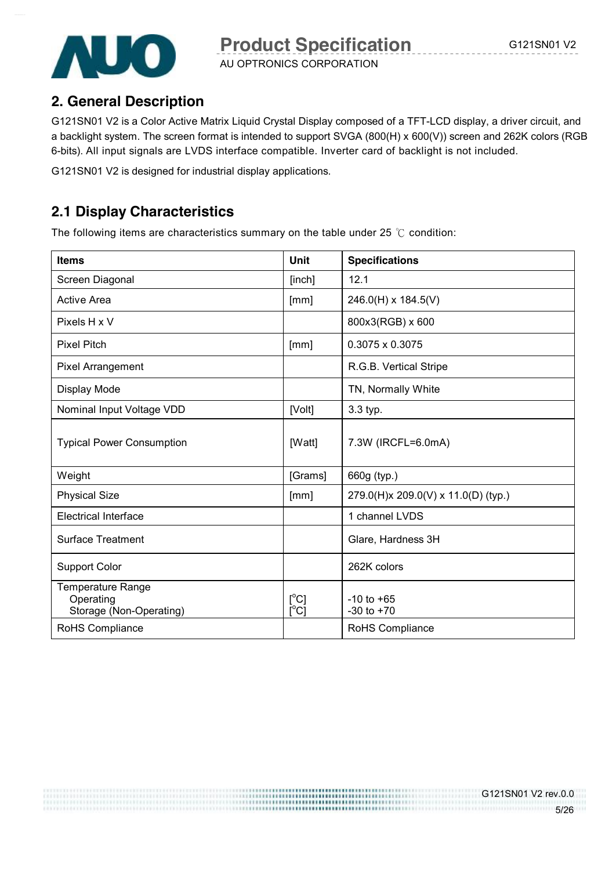

AU OPTRONICS CORPORATION

# **2. General Description**

G121SN01 V2 is a Color Active Matrix Liquid Crystal Display composed of a TFT-LCD display, a driver circuit, and a backlight system. The screen format is intended to support SVGA (800(H) x 600(V)) screen and 262K colors (RGB 6-bits). All input signals are LVDS interface compatible. Inverter card of backlight is not included.

G121SN01 V2 is designed for industrial display applications.

# **2.1 Display Characteristics**

The following items are characteristics summary on the table under 25 ℃ condition:

| <b>Items</b>                                                     | Unit                                          | <b>Specifications</b>               |
|------------------------------------------------------------------|-----------------------------------------------|-------------------------------------|
| Screen Diagonal                                                  | [inch]                                        | 12.1                                |
| <b>Active Area</b>                                               | [mm]                                          | 246.0(H) x 184.5(V)                 |
| Pixels H x V                                                     |                                               | 800x3(RGB) x 600                    |
| <b>Pixel Pitch</b>                                               | [mm]                                          | $0.3075 \times 0.3075$              |
| Pixel Arrangement                                                |                                               | R.G.B. Vertical Stripe              |
| Display Mode                                                     |                                               | TN, Normally White                  |
| Nominal Input Voltage VDD                                        | [Volt]                                        | 3.3 typ.                            |
| <b>Typical Power Consumption</b>                                 | [Watt]                                        | 7.3W (IRCFL=6.0mA)                  |
| Weight                                                           | [Grams]                                       | 660g (typ.)                         |
| <b>Physical Size</b>                                             | [mm]                                          | 279.0(H)x 209.0(V) x 11.0(D) (typ.) |
| <b>Electrical Interface</b>                                      |                                               | 1 channel LVDS                      |
| Surface Treatment                                                |                                               | Glare, Hardness 3H                  |
| <b>Support Color</b>                                             |                                               | 262K colors                         |
| <b>Temperature Range</b><br>Operating<br>Storage (Non-Operating) | $[^{\circ}C]$<br>$\mathsf{I}^\circ\mathsf{C}$ | $-10$ to $+65$<br>$-30$ to $+70$    |
| RoHS Compliance                                                  |                                               | RoHS Compliance                     |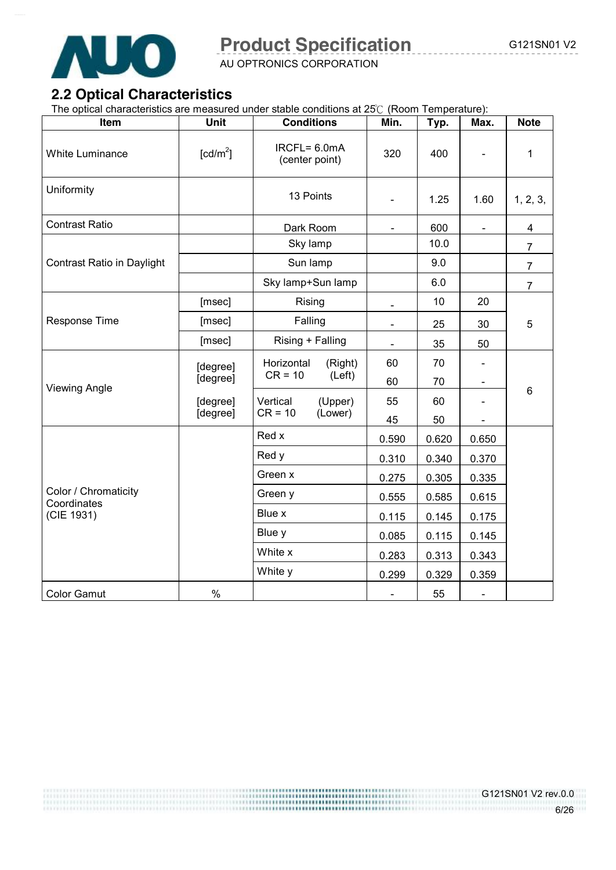

AU OPTRONICS CORPORATION

# **2.2 Optical Characteristics**

The optical characteristics are measured under stable conditions at 25℃ (Room Temperature):

| Item                                | Unit                 | <b>Conditions</b>                 | Min.           | Typ.  | Max.                         | <b>Note</b>    |  |  |  |
|-------------------------------------|----------------------|-----------------------------------|----------------|-------|------------------------------|----------------|--|--|--|
| <b>White Luminance</b>              | [cd/m <sup>2</sup> ] | $IRCFL = 6.0mA$<br>(center point) | 320            | 400   |                              | $\mathbf{1}$   |  |  |  |
| Uniformity                          |                      | 13 Points                         | ÷,             | 1.25  | 1.60                         | 1, 2, 3,       |  |  |  |
| <b>Contrast Ratio</b>               |                      | Dark Room                         | $\blacksquare$ | 600   | $\qquad \qquad \blacksquare$ | 4              |  |  |  |
|                                     |                      | Sky lamp                          |                | 10.0  |                              | $\overline{7}$ |  |  |  |
| Contrast Ratio in Daylight          |                      | Sun lamp                          |                | 9.0   |                              | $\overline{7}$ |  |  |  |
|                                     |                      | Sky lamp+Sun lamp                 |                | 6.0   |                              | $\overline{7}$ |  |  |  |
|                                     | [msec]               | Rising                            | $\blacksquare$ | 10    | 20                           |                |  |  |  |
| Response Time                       | [msec]               | Falling                           | $\blacksquare$ | 25    | 30                           | 5              |  |  |  |
|                                     | [msec]               | Rising + Falling                  | $\frac{1}{2}$  | 35    | 50                           |                |  |  |  |
|                                     | [degree]             | Horizontal<br>(Right)             | 60             | 70    |                              |                |  |  |  |
| <b>Viewing Angle</b>                | [degree]             | $CR = 10$<br>(Left)               | 60             | 70    | $\overline{\phantom{a}}$     | 6              |  |  |  |
|                                     | [degree]             | Vertical<br>(Upper)               | 55             | 60    | $\blacksquare$               |                |  |  |  |
|                                     | [degree]             | $CR = 10$<br>(Lower)              | 45             | 50    |                              |                |  |  |  |
|                                     |                      | Red x                             | 0.590          | 0.620 | 0.650                        |                |  |  |  |
|                                     |                      | Red y                             | 0.310          | 0.340 | 0.370                        |                |  |  |  |
|                                     |                      | Green x                           | 0.275          | 0.305 | 0.335                        |                |  |  |  |
| Color / Chromaticity<br>Coordinates |                      | Green y                           | 0.555          | 0.585 | 0.615                        |                |  |  |  |
| (CIE 1931)                          |                      | Blue x                            | 0.115          | 0.145 | 0.175                        |                |  |  |  |
|                                     |                      | Blue y                            | 0.085          | 0.115 | 0.145                        |                |  |  |  |
|                                     |                      | White x                           | 0.283          | 0.313 | 0.343                        |                |  |  |  |
|                                     |                      | White y                           | 0.299          | 0.329 | 0.359                        |                |  |  |  |
| <b>Color Gamut</b>                  | $\%$                 |                                   |                | 55    | $\blacksquare$               |                |  |  |  |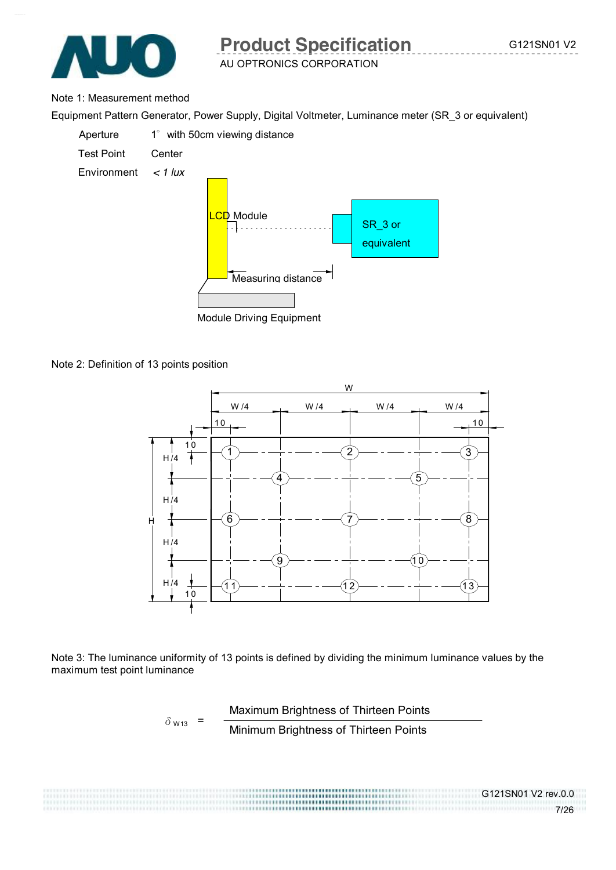

#### Note 1: Measurement method

Equipment Pattern Generator, Power Supply, Digital Voltmeter, Luminance meter (SR\_3 or equivalent)



Module Driving Equipment

Note 2: Definition of 13 points position



Note 3: The luminance uniformity of 13 points is defined by dividing the minimum luminance values by the maximum test point luminance

$$
\delta_{W13} = \frac{\text{Maximum brightness of Thirteen Points}}{\text{Minimum brightness of Thirteen Points}}
$$

,,,,,,,,,,,,,,,,,,,,,,,,,,,,,,,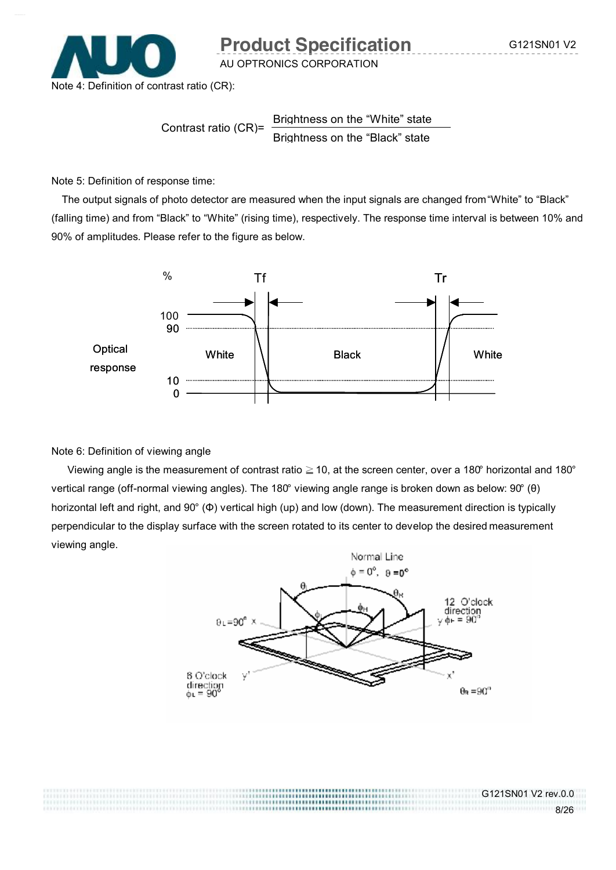G121SN01 V2 rev.0.0

8/26



**Product Specification G121SN01 V2** 

AU OPTRONICS CORPORATION

Contrast ratio (CR)= Brightness on the "White" state Brightness on the "Black" state

Note 5: Definition of response time:

The output signals of photo detector are measured when the input signals are changed from "White" to "Black" (falling time) and from "Black" to "White" (rising time), respectively. The response time interval is between 10% and 90% of amplitudes. Please refer to the figure as below.



#### Note 6: Definition of viewing angle

Viewing angle is the measurement of contrast ratio  $\geq 10$ , at the screen center, over a 180° horizontal and 180° vertical range (off-normal viewing angles). The 180° viewing angle range is broken down as below: 90° (θ) horizontal left and right, and 90° (Φ) vertical high (up) and low (down). The measurement direction is typically perpendicular to the display surface with the screen rotated to its center to develop the desired measurement viewing angle.

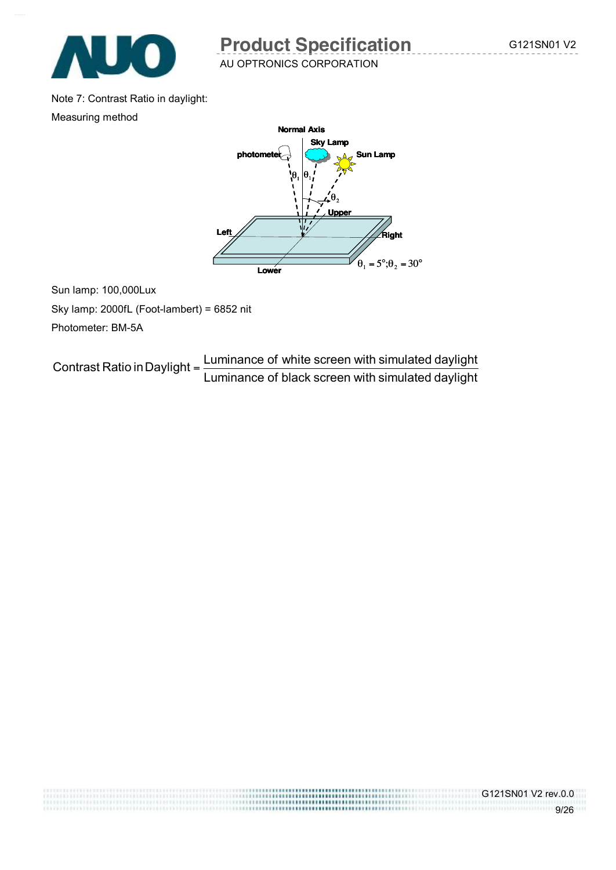

G121SN01 V2 rev.0.0

9/26

AU OPTRONICS CORPORATION

Note 7: Contrast Ratio in daylight:

Measuring method



Sun lamp: 100,000Lux Sky lamp: 2000fL (Foot-lambert) = 6852 nit Photometer: BM-5A

Luminance of black screen with simulated daylight Contrast Ratio in Daylight =  $\frac{\text{Luminance of white screen with simulated daylight}}{\text{Lattice of the total weight}}$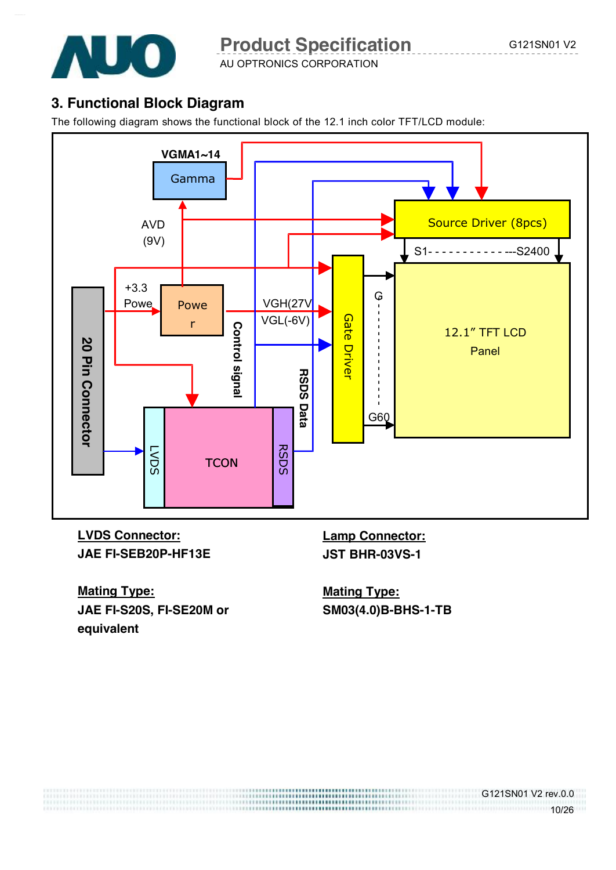

AU OPTRONICS CORPORATION

# **3. Functional Block Diagram**

The following diagram shows the functional block of the 12.1 inch color TFT/LCD module:



**LVDS Connector: JAE FI-SEB20P-HF13E**  **Lamp Connector: JST BHR-03VS-1** 

**Mating Type: JAE FI-S20S, FI-SE20M or equivalent** 

**Mating Type: SM03(4.0)B-BHS-1-TB** 

G121SN01 V2 rev.0.0

<u>10/26</u>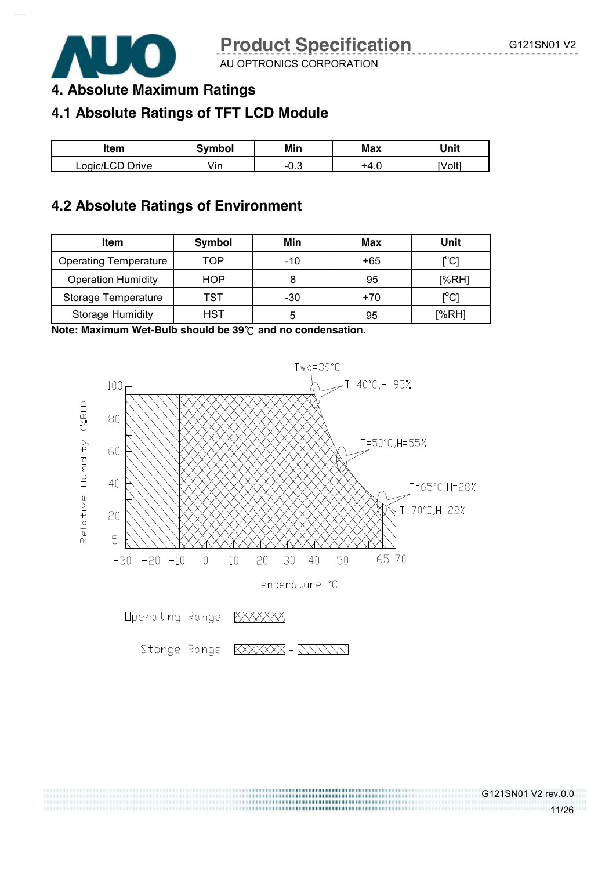

G121SN01 V2 rev.0.0

11/26

AU OPTRONICS CORPORATION

# **4. Absolute Maximum Ratings**

# **4.1 Absolute Ratings of TFT LCD Module**

| ltem            | Symbol | Min    | <b>Max</b> | Unit   |
|-----------------|--------|--------|------------|--------|
| Logic/LCD Drive | /in    | $-0.3$ | +4.u       | [Volt] |

### **4.2 Absolute Ratings of Environment**

| <b>Item</b>                  | Symbol     | Min   | Max   | Unit                                    |
|------------------------------|------------|-------|-------|-----------------------------------------|
| <b>Operating Temperature</b> | TOP        | $-10$ | +65   | $\mathsf{I}^\circ\mathsf{C}$            |
| <b>Operation Humidity</b>    | HOP        |       | 95    | [%RH]                                   |
| Storage Temperature          | TST        | $-30$ | $+70$ | $\mathsf{I}^\circ\mathsf{C} \mathsf{I}$ |
| <b>Storage Humidity</b>      | <b>HST</b> |       | 95    | [%RH]                                   |

**Note: Maximum Wet-Bulb should be 39**℃ **and no condensation.** 



Storge Range

XXXXXX + XXXXX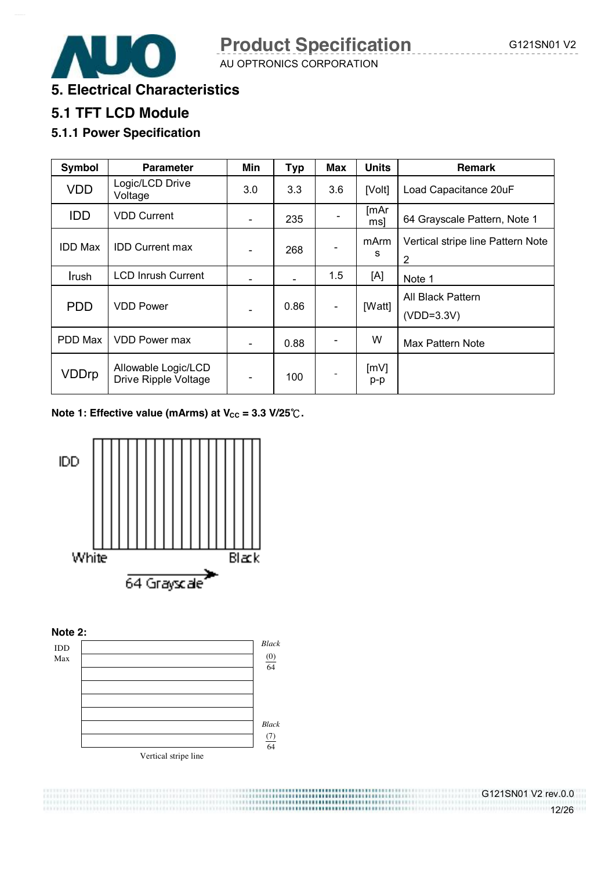**5. Electrical Characteristics** 

# **5.1 TFT LCD Module**

### **5.1.1 Power Specification**

| Symbol         | <b>Parameter</b>                            | Min | <b>Typ</b> | Max | <b>Units</b> | Remark                                              |
|----------------|---------------------------------------------|-----|------------|-----|--------------|-----------------------------------------------------|
| <b>VDD</b>     | Logic/LCD Drive<br>Voltage                  | 3.0 | 3.3        | 3.6 | [Volt]       | Load Capacitance 20uF                               |
| <b>IDD</b>     | <b>VDD Current</b>                          |     | 235        |     | [mAr<br>msl  | 64 Grayscale Pattern, Note 1                        |
| <b>IDD Max</b> | <b>IDD Current max</b>                      |     | 268        |     | mArm<br>s    | Vertical stripe line Pattern Note<br>$\overline{2}$ |
| Irush          | <b>LCD Inrush Current</b>                   |     |            | 1.5 | [A]          | Note 1                                              |
| <b>PDD</b>     | <b>VDD Power</b>                            |     | 0.86       |     | [Watt]       | All Black Pattern<br>$(VDD=3.3V)$                   |
| PDD Max        | <b>VDD Power max</b>                        |     | 0.88       |     | W            | Max Pattern Note                                    |
| <b>VDDrp</b>   | Allowable Logic/LCD<br>Drive Ripple Voltage |     | 100        |     | [mV]<br>p-p  |                                                     |

**Note 1: Effective value (mArms) at V<sub>cc</sub> = 3.3 V/25℃.** 



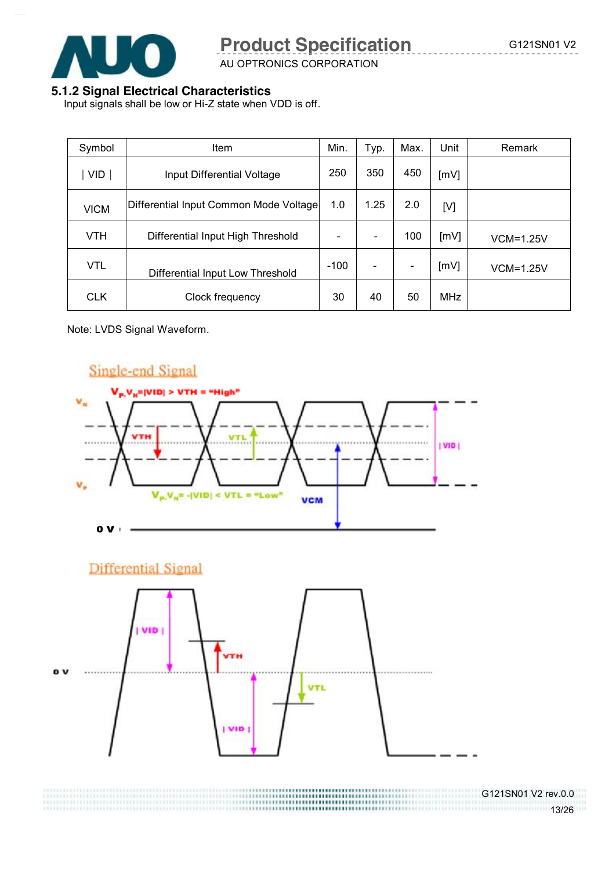

AU OPTRONICS CORPORATION

#### **5.1.2 Signal Electrical Characteristics**

Input signals shall be low or Hi-Z state when VDD is off.

| Symbol      | <b>Item</b>                            | Min.                     | Typ. | Max. | Unit       | Remark      |
|-------------|----------------------------------------|--------------------------|------|------|------------|-------------|
| <b>VID</b>  | Input Differential Voltage             | 250                      | 350  | 450  | [mV]       |             |
| <b>VICM</b> | Differential Input Common Mode Voltage | 1.0                      | 1.25 | 2.0  | [V]        |             |
| <b>VTH</b>  | Differential Input High Threshold      | $\overline{\phantom{a}}$ |      | 100  | [mV]       | $VCM=1.25V$ |
| <b>VTL</b>  | Differential Input Low Threshold       | $-100$                   |      |      | [mV]       | $VCM=1.25V$ |
| <b>CLK</b>  | Clock frequency                        | 30                       | 40   | 50   | <b>MHz</b> |             |

Note: LVDS Signal Waveform.



G121SN01 V2 rev.0.0 <u>13/26</u>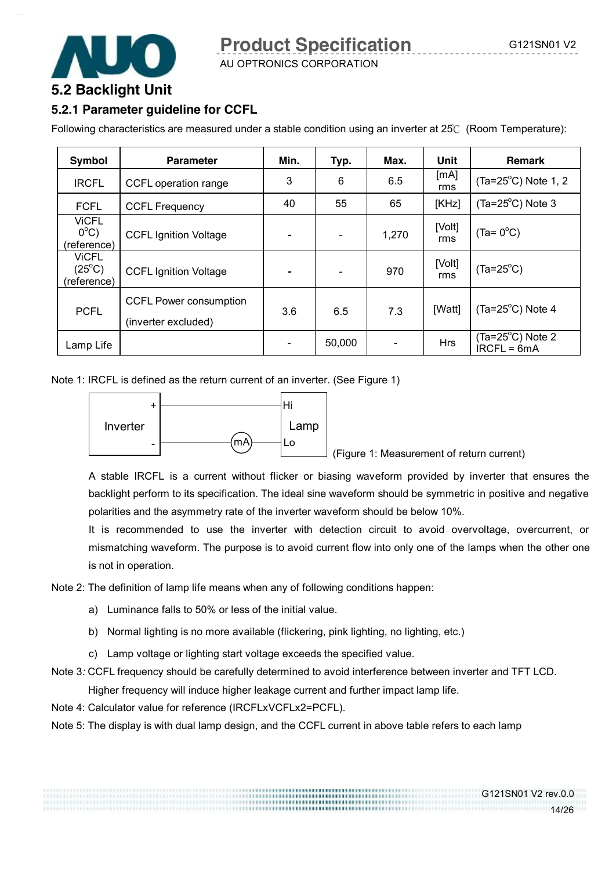G121SN01 V2 rev.0.0

14/26



AU OPTRONICS CORPORATION

# **5.2 Backlight Unit**

#### **5.2.1 Parameter guideline for CCFL**

Following characteristics are measured under a stable condition using an inverter at 25℃ (Room Temperature):

| Symbol                                         | <b>Parameter</b>                                     | Min.           | Typ.                     | Max.  | Unit          | <b>Remark</b>                              |
|------------------------------------------------|------------------------------------------------------|----------------|--------------------------|-------|---------------|--------------------------------------------|
| <b>IRCFL</b>                                   | CCFL operation range                                 | 3              | 6                        | 6.5   | [mA]<br>rms   | $(Ta=25^{\circ}C)$ Note 1, 2               |
| <b>FCFL</b>                                    | <b>CCFL Frequency</b>                                | 40             | 55                       | 65    | [KHz]         | $(Ta=25^{\circ}C)$ Note 3                  |
| <b>ViCFL</b><br>$0^{\circ}$ C)<br>(reference)  | <b>CCFL Ignition Voltage</b>                         |                | $\blacksquare$           | 1,270 | [Volt]<br>rms | $(Ta = 0^{\circ}C)$                        |
| <b>ViCFL</b><br>$(25^{\circ}C)$<br>(reference) | <b>CCFL Ignition Voltage</b>                         | $\blacksquare$ | $\overline{\phantom{a}}$ | 970   | [Volt]<br>rms | $(Ta=25^{\circ}C)$                         |
| <b>PCFL</b>                                    | <b>CCFL Power consumption</b><br>(inverter excluded) | 3.6            | 6.5                      | 7.3   | [Watt]        | $(Ta=25^{\circ}C)$ Note 4                  |
| Lamp Life                                      |                                                      |                | 50,000                   |       | <b>Hrs</b>    | $(Ta=25^{\circ}C)$ Note 2<br>$IRCFL = 6mA$ |

Note 1: IRCFL is defined as the return current of an inverter. (See Figure 1)



(Figure 1: Measurement of return current)

A stable IRCFL is a current without flicker or biasing waveform provided by inverter that ensures the backlight perform to its specification. The ideal sine waveform should be symmetric in positive and negative polarities and the asymmetry rate of the inverter waveform should be below 10%.

It is recommended to use the inverter with detection circuit to avoid overvoltage, overcurrent, or mismatching waveform. The purpose is to avoid current flow into only one of the lamps when the other one is not in operation.

Note 2: The definition of lamp life means when any of following conditions happen:

- a) Luminance falls to 50% or less of the initial value.
- b) Normal lighting is no more available (flickering, pink lighting, no lighting, etc.)
- c) Lamp voltage or lighting start voltage exceeds the specified value.

Note 3*:* CCFL frequency should be carefully determined to avoid interference between inverter and TFT LCD.

Higher frequency will induce higher leakage current and further impact lamp life.

Note 4: Calculator value for reference (IRCFLxVCFLx2=PCFL).

Note 5: The display is with dual lamp design, and the CCFL current in above table refers to each lamp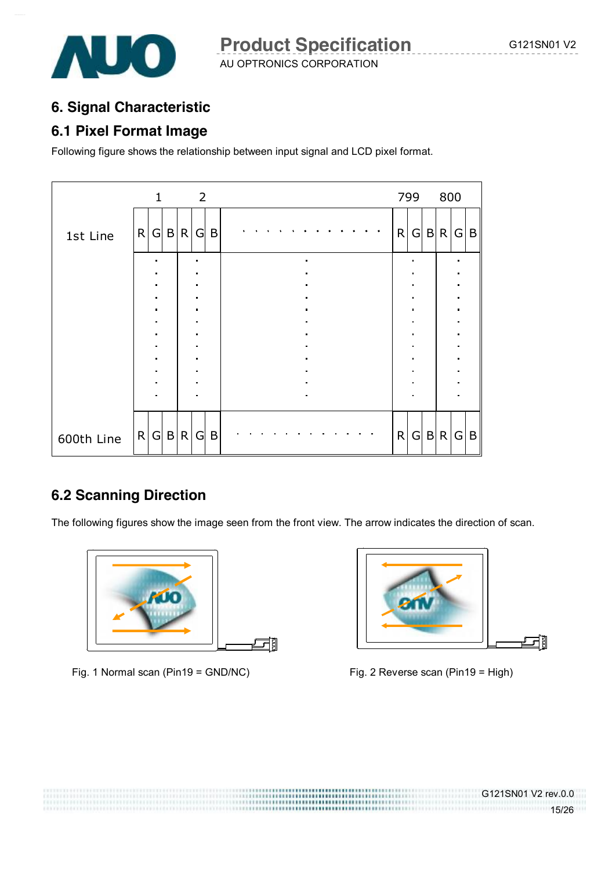

## **6. Signal Characteristic**

## **6.1 Pixel Format Image**

Following figure shows the relationship between input signal and LCD pixel format.

|            |   | $\mathbf{1}$ |              |              | $\overline{2}$ |   |                |  |  |  |                |  |  |              | 799             |                | 800 |                                                    |   |
|------------|---|--------------|--------------|--------------|----------------|---|----------------|--|--|--|----------------|--|--|--------------|-----------------|----------------|-----|----------------------------------------------------|---|
| 1st Line   | R |              | G B R        |              | G              | B |                |  |  |  |                |  |  | R            | $\vert G \vert$ |                | B R | G                                                  | B |
|            |   |              |              |              |                |   |                |  |  |  |                |  |  |              |                 |                |     | $\blacksquare$<br>$\blacksquare$                   |   |
|            |   | п            |              |              | $\blacksquare$ |   |                |  |  |  | $\blacksquare$ |  |  |              | $\blacksquare$  |                |     | $\blacksquare$<br>$\blacksquare$                   |   |
|            |   |              |              |              |                |   |                |  |  |  |                |  |  |              |                 |                |     | $\blacksquare$<br>$\blacksquare$<br>$\blacksquare$ |   |
|            |   |              |              |              |                |   |                |  |  |  |                |  |  |              |                 |                |     | $\blacksquare$<br>٠<br>$\blacksquare$              |   |
|            |   |              |              |              |                |   | $\blacksquare$ |  |  |  |                |  |  |              |                 | $\blacksquare$ |     |                                                    |   |
| 600th Line | R | G            | $\mathsf{B}$ | $\mathsf{R}$ | G              | B |                |  |  |  |                |  |  | $\mathsf{R}$ | G               | $\mathsf{B}$   | R   | G                                                  | B |

# **6.2 Scanning Direction**

The following figures show the image seen from the front view. The arrow indicates the direction of scan.



Fig. 1 Normal scan (Pin19 = GND/NC) Fig. 2 Reverse scan (Pin19 = High)



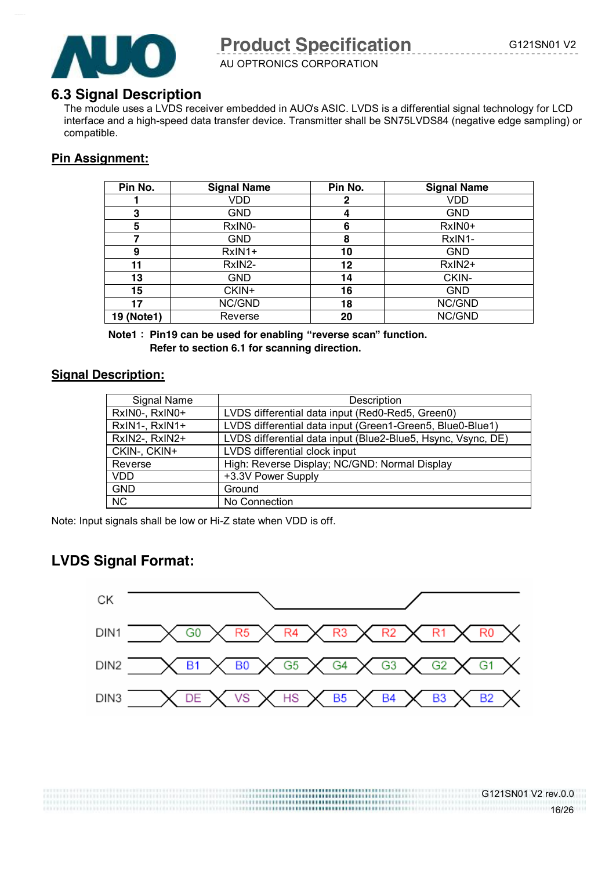

AU OPTRONICS CORPORATION

#### **6.3 Signal Description**

The module uses a LVDS receiver embedded in AUO's ASIC. LVDS is a differential signal technology for LCD interface and a high-speed data transfer device. Transmitter shall be SN75LVDS84 (negative edge sampling) or compatible.

### **Pin Assignment:**

| Pin No.    | <b>Signal Name</b> | Pin No. | <b>Signal Name</b> |
|------------|--------------------|---------|--------------------|
|            | VDD                | 2       | VDD                |
| 3          | <b>GND</b>         | 4       | <b>GND</b>         |
| 5          | RxIN0-             | 6       | RxIN0+             |
| 7          | <b>GND</b>         | 8       | RxIN1-             |
| 9          | RxIN1+             | 10      | <b>GND</b>         |
| 11         | RxIN2-             | 12      | RxIN2+             |
| 13         | <b>GND</b>         | 14      | CKIN-              |
| 15         | CKIN+              | 16      | <b>GND</b>         |
| 17         | NC/GND             | 18      | NC/GND             |
| 19 (Note1) | Reverse            | 20      | NC/GND             |

**Note1**: **Pin19 can be used for enabling "reverse scan" function. Refer to section 6.1 for scanning direction.** 

#### **Signal Description:**

| Signal Name    | Description                                                  |
|----------------|--------------------------------------------------------------|
| RxIN0-, RxIN0+ | LVDS differential data input (Red0-Red5, Green0)             |
| RxIN1-, RxIN1+ | LVDS differential data input (Green1-Green5, Blue0-Blue1)    |
| RxIN2-, RxIN2+ | LVDS differential data input (Blue2-Blue5, Hsync, Vsync, DE) |
| CKIN-, CKIN+   | LVDS differential clock input                                |
| Reverse        | High: Reverse Display; NC/GND: Normal Display                |
| <b>VDD</b>     | +3.3V Power Supply                                           |
| <b>GND</b>     | Ground                                                       |
| <b>NC</b>      | No Connection                                                |

Note: Input signals shall be low or Hi-Z state when VDD is off.

# **LVDS Signal Format:**

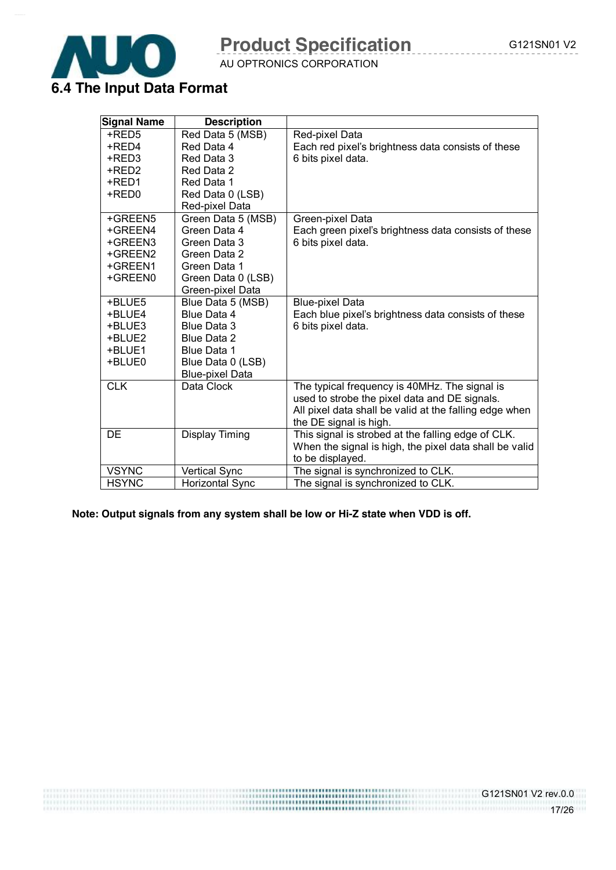

AU OPTRONICS CORPORATION

|  |  |  |  | 6.4 The Input Data Format |
|--|--|--|--|---------------------------|
|--|--|--|--|---------------------------|

| <b>Signal Name</b> | <b>Description</b>     |                                                        |
|--------------------|------------------------|--------------------------------------------------------|
| +RED5              | Red Data 5 (MSB)       | Red-pixel Data                                         |
| +RED4              | Red Data 4             | Each red pixel's brightness data consists of these     |
| +RED3              | Red Data 3             | 6 bits pixel data.                                     |
| +RED2              | Red Data 2             |                                                        |
| +RED1              | Red Data 1             |                                                        |
| +RED0              | Red Data 0 (LSB)       |                                                        |
|                    | Red-pixel Data         |                                                        |
| +GREEN5            | Green Data 5 (MSB)     | Green-pixel Data                                       |
| +GREEN4            | Green Data 4           | Each green pixel's brightness data consists of these   |
| +GREEN3            | Green Data 3           | 6 bits pixel data.                                     |
| +GREEN2            | Green Data 2           |                                                        |
| +GREEN1            | Green Data 1           |                                                        |
| +GREEN0            | Green Data 0 (LSB)     |                                                        |
|                    | Green-pixel Data       |                                                        |
| +BLUE5             | Blue Data 5 (MSB)      | <b>Blue-pixel Data</b>                                 |
| +BLUE4             | Blue Data 4            | Each blue pixel's brightness data consists of these    |
| +BLUE3             | Blue Data 3            | 6 bits pixel data.                                     |
| +BLUE2             | Blue Data 2            |                                                        |
| +BLUE1             | Blue Data 1            |                                                        |
| +BLUE0             | Blue Data 0 (LSB)      |                                                        |
|                    | <b>Blue-pixel Data</b> |                                                        |
| <b>CLK</b>         | Data Clock             | The typical frequency is 40MHz. The signal is          |
|                    |                        | used to strobe the pixel data and DE signals.          |
|                    |                        | All pixel data shall be valid at the falling edge when |
|                    |                        | the DE signal is high.                                 |
| DE                 | Display Timing         | This signal is strobed at the falling edge of CLK.     |
|                    |                        | When the signal is high, the pixel data shall be valid |
|                    |                        | to be displayed.                                       |
| <b>VSYNC</b>       | <b>Vertical Sync</b>   | The signal is synchronized to CLK.                     |
| <b>HSYNC</b>       | <b>Horizontal Sync</b> | The signal is synchronized to CLK.                     |

**Note: Output signals from any system shall be low or Hi-Z state when VDD is off.** 

 $G121SNO1 V2 rev.0.0$ <br>17/26 17/26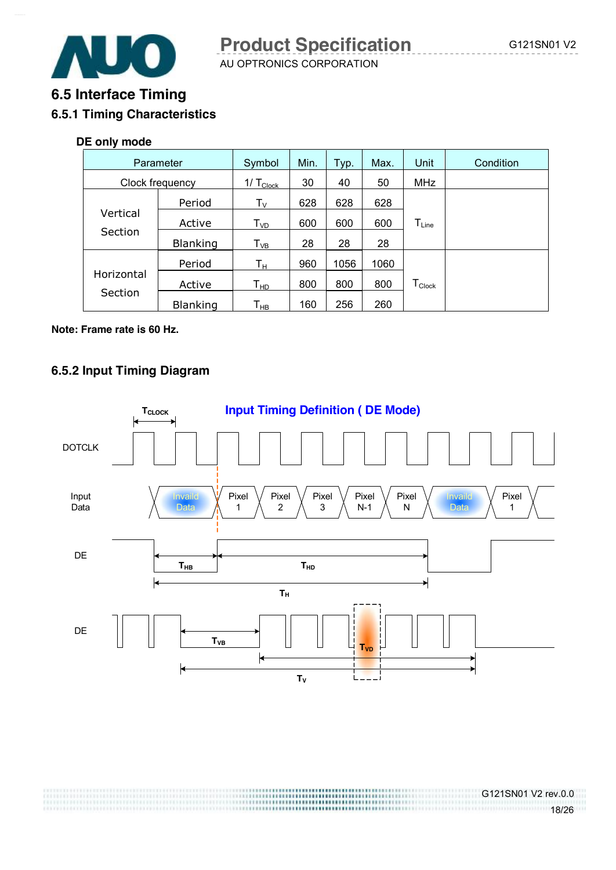

# **6.5 Interface Timing 6.5.1 Timing Characteristics**

#### **DE only mode**

| Parameter       |                 | Symbol                            | Min. | Typ. | Max. | Unit                           | Condition |
|-----------------|-----------------|-----------------------------------|------|------|------|--------------------------------|-----------|
| Clock frequency |                 | 1/ $T_{\underline{\text{Clock}}}$ | 30   | 40   | 50   | <b>MHz</b>                     |           |
|                 | Period          | $T_{V}$                           | 628  | 628  | 628  |                                |           |
| Vertical        | Active          | $\mathsf{T}_{\textsf{VD}}$        | 600  | 600  | 600  | $T_{Line}$                     |           |
| Section         | <b>Blanking</b> | $T_{VB}$                          | 28   | 28   | 28   |                                |           |
|                 | Period          | $\mathsf{T}_\mathsf{H}$           | 960  | 1056 | 1060 |                                |           |
| Horizontal      | Active          | Т <sub>нр</sub>                   | 800  | 800  | 800  | ${\mathsf T}_{\mathsf{Clock}}$ |           |
| Section         | <b>Blanking</b> | $\mathsf{T}_{\mathsf{HB}}$        | 160  | 256  | 260  |                                |           |

#### **Note: Frame rate is 60 Hz.**

#### **6.5.2 Input Timing Diagram**

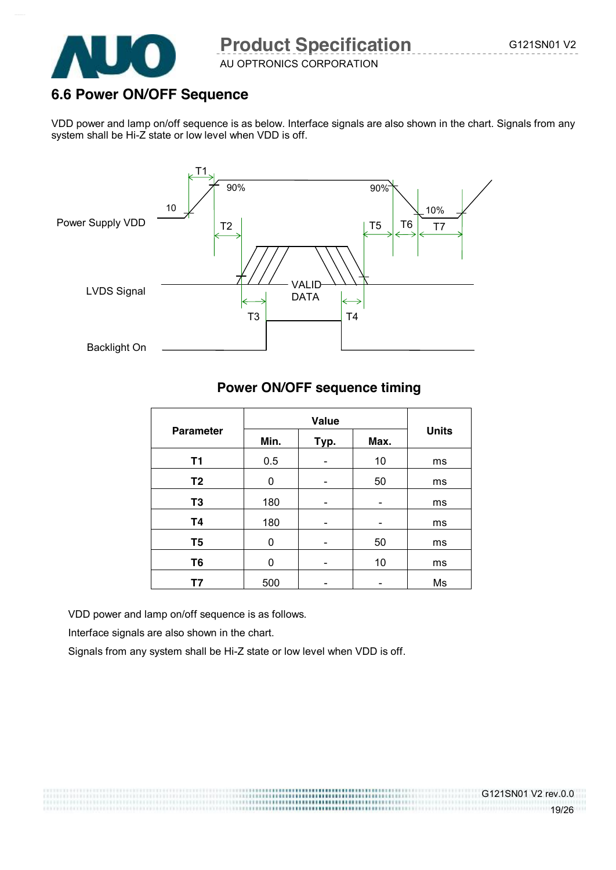

AU OPTRONICS CORPORATION

### **6.6 Power ON/OFF Sequence**

VDD power and lamp on/off sequence is as below. Interface signals are also shown in the chart. Signals from any system shall be Hi-Z state or low level when VDD is off.



### **Power ON/OFF sequence timing**

| <b>Parameter</b> | Min. | Typ. | Max. | <b>Units</b> |  |
|------------------|------|------|------|--------------|--|
| T1               | 0.5  |      | 10   | ms           |  |
| T <sub>2</sub>   | 0    |      | 50   | ms           |  |
| T <sub>3</sub>   | 180  |      | -    | ms           |  |
| <b>T4</b>        | 180  |      |      | ms           |  |
| T <sub>5</sub>   | 0    |      | 50   | ms           |  |
| T <sub>6</sub>   | 0    |      | 10   | ms           |  |
| Τ7               | 500  |      |      | Ms           |  |

VDD power and lamp on/off sequence is as follows.

Interface signals are also shown in the chart.

Signals from any system shall be Hi-Z state or low level when VDD is off.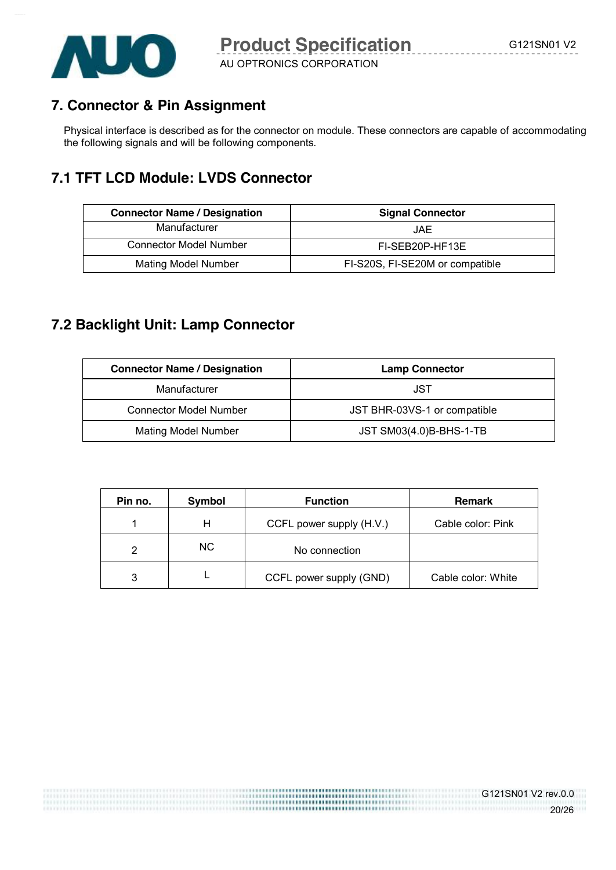

AU OPTRONICS CORPORATION

# **7. Connector & Pin Assignment**

Physical interface is described as for the connector on module. These connectors are capable of accommodating the following signals and will be following components.

# **7.1 TFT LCD Module: LVDS Connector**

| <b>Connector Name / Designation</b> | <b>Signal Connector</b>         |  |  |
|-------------------------------------|---------------------------------|--|--|
| Manufacturer                        | JAE                             |  |  |
| <b>Connector Model Number</b>       | FI-SEB20P-HF13E                 |  |  |
| <b>Mating Model Number</b>          | FI-S20S, FI-SE20M or compatible |  |  |

# **7.2 Backlight Unit: Lamp Connector**

| <b>Connector Name / Designation</b> | <b>Lamp Connector</b>        |  |  |
|-------------------------------------|------------------------------|--|--|
| Manufacturer                        | JST                          |  |  |
| <b>Connector Model Number</b>       | JST BHR-03VS-1 or compatible |  |  |
| <b>Mating Model Number</b>          | JST SM03(4.0)B-BHS-1-TB      |  |  |

| Pin no. | Symbol | <b>Function</b>          | <b>Remark</b>      |
|---------|--------|--------------------------|--------------------|
|         | н      | CCFL power supply (H.V.) | Cable color: Pink  |
| 2       | NC.    | No connection            |                    |
| 3       |        | CCFL power supply (GND)  | Cable color: White |

,,,,,,,,,,,,,,,,,,,,,,,,,,,,

G121SN01 V2 rev.0.0

20/26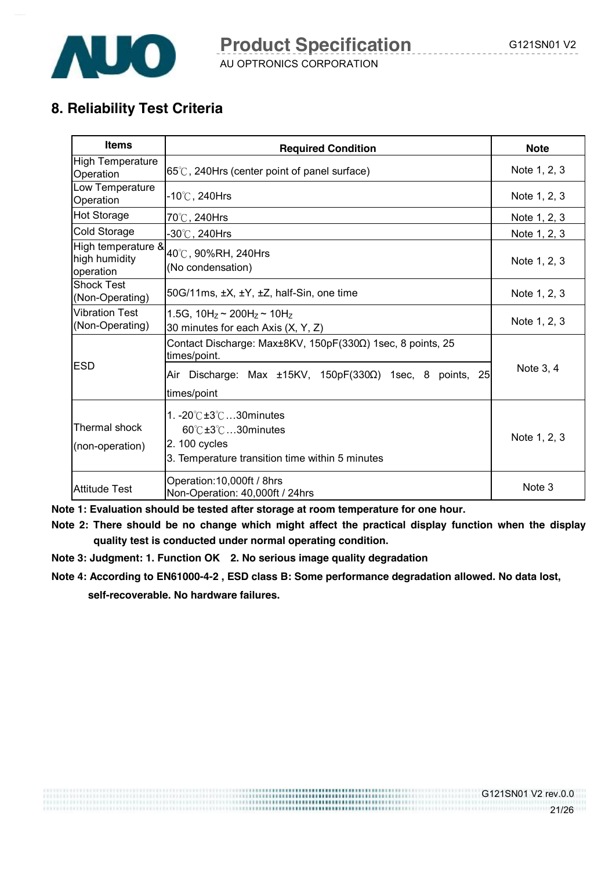

# **8. Reliability Test Criteria**

| <b>Items</b>                                     | <b>Required Condition</b>                                                                                                                                     | <b>Note</b>  |
|--------------------------------------------------|---------------------------------------------------------------------------------------------------------------------------------------------------------------|--------------|
| <b>High Temperature</b><br>Operation             | 65°C, 240Hrs (center point of panel surface)                                                                                                                  | Note 1, 2, 3 |
| Low Temperature<br>Operation                     | -10 $^\circ$ C , 240Hrs                                                                                                                                       | Note 1, 2, 3 |
| <b>Hot Storage</b>                               | 70℃, 240Hrs                                                                                                                                                   | Note 1, 2, 3 |
| <b>Cold Storage</b>                              | -30 $^\circ\!{\rm C}$ , 240Hrs                                                                                                                                | Note 1, 2, 3 |
| High temperature &<br>high humidity<br>operation | 40℃, 90%RH, 240Hrs<br>(No condensation)                                                                                                                       | Note 1, 2, 3 |
| <b>Shock Test</b><br>(Non-Operating)             | 50G/11ms, $\pm X$ , $\pm Y$ , $\pm Z$ , half-Sin, one time                                                                                                    | Note 1, 2, 3 |
| <b>Vibration Test</b><br>(Non-Operating)         | 1.5G, $10H_z \sim 200H_z \sim 10H_z$<br>30 minutes for each Axis (X, Y, Z)                                                                                    | Note 1, 2, 3 |
| <b>ESD</b>                                       | Contact Discharge: Max±8KV, 150pF(330Ω) 1sec, 8 points, 25<br>times/point.                                                                                    |              |
|                                                  | Air Discharge: Max $\pm$ 15KV, 150pF(330 $\Omega$ ) 1sec, 8<br>points, 25<br>times/point                                                                      | Note 3, 4    |
| Thermal shock<br>(non-operation)                 | 1. $-20^{\circ}$ C $\pm 3^{\circ}$ C 30 minutes<br>$60^\circ$ C $\pm 3^\circ$ C 30 minutes<br>2.100 cycles<br>3. Temperature transition time within 5 minutes | Note 1, 2, 3 |
| <b>Attitude Test</b>                             | Operation: 10,000ft / 8hrs<br>Non-Operation: 40,000ft / 24hrs                                                                                                 | Note 3       |

**Note 1: Evaluation should be tested after storage at room temperature for one hour.** 

**Note 2: There should be no change which might affect the practical display function when the display quality test is conducted under normal operating condition.** 

- **Note 3: Judgment: 1. Function OK 2. No serious image quality degradation**
- **Note 4: According to EN61000-4-2 , ESD class B: Some performance degradation allowed. No data lost,**

**self-recoverable. No hardware failures.**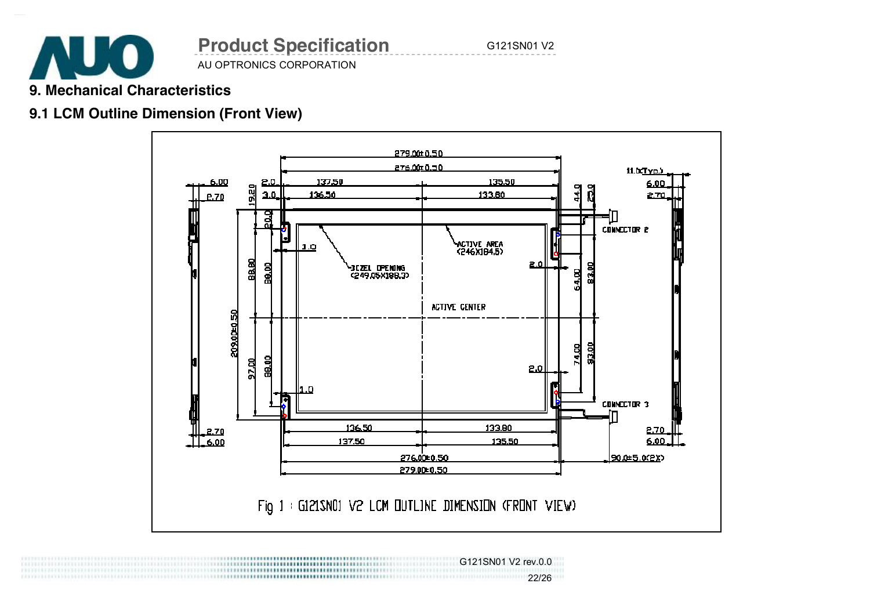

# **9. Mechanical Characteristics**

# **9.1 LCM Outline Dimension (Front View)**



 G121SN01 V2 rev.0.0 22/26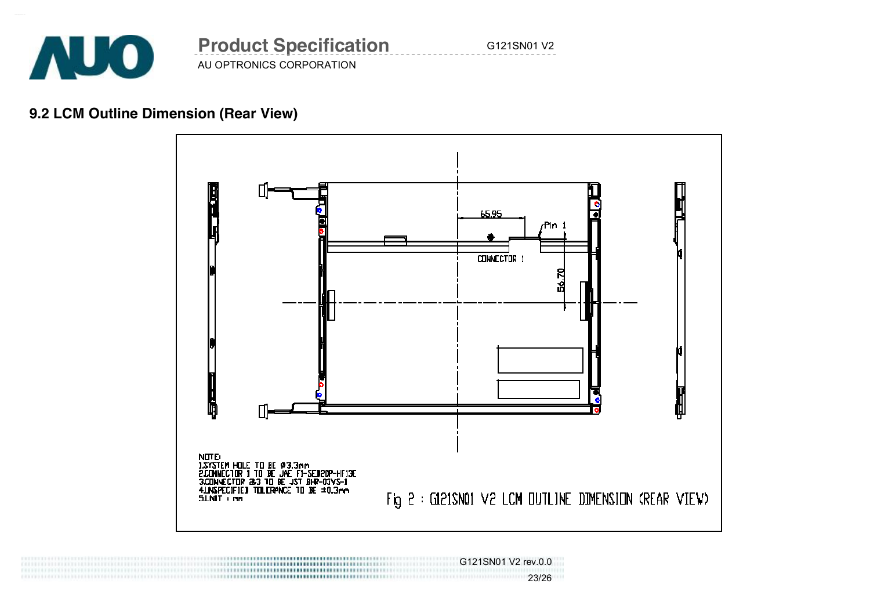

# **9.2 LCM Outline Dimension (Rear View)**



 G121SN01 V2 rev.0.0 23/26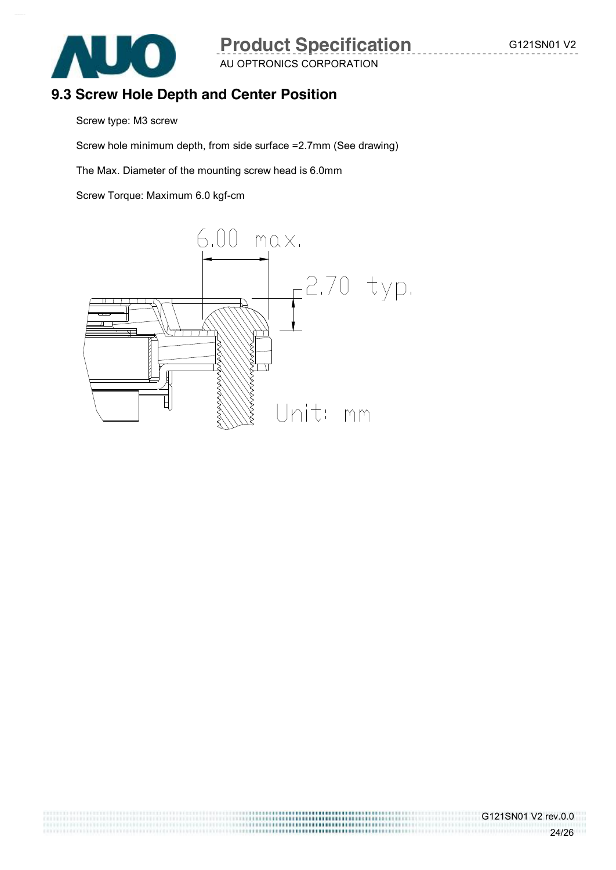

.................................

### **9.3 Screw Hole Depth and Center Position**

Screw type: M3 screw

Screw hole minimum depth, from side surface =2.7mm (See drawing)

The Max. Diameter of the mounting screw head is 6.0mm

Screw Torque: Maximum 6.0 kgf-cm

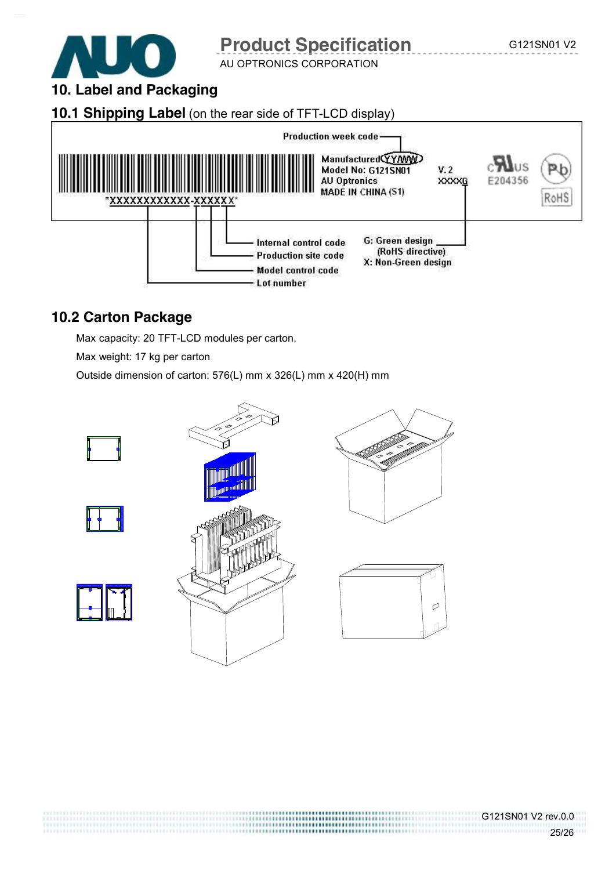

AU OPTRONICS CORPORATION

**10. Label and Packaging** 

### **10.1 Shipping Label** (on the rear side of TFT-LCD display)



### **10.2 Carton Package**

Max capacity: 20 TFT-LCD modules per carton.

Max weight: 17 kg per carton

Outside dimension of carton: 576(L) mm x 326(L) mm x 420(H) mm



G121SN01 V2 rev.0.0

25/26